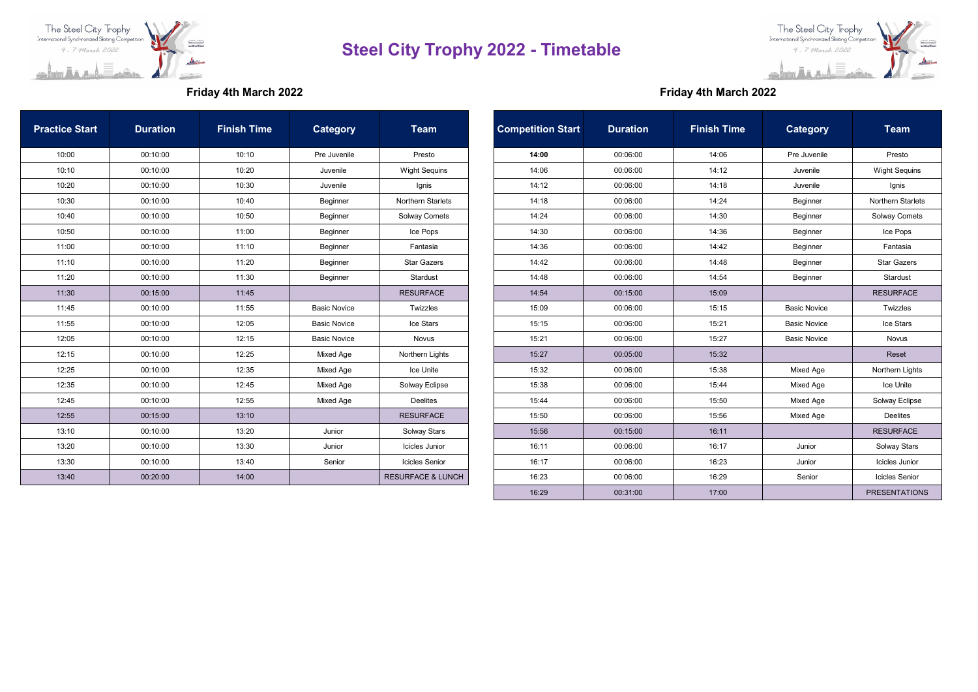



## **Friday 4th March 2022 Friday 4th March 2022**

| <b>Practice Start</b> | <b>Duration</b> | <b>Finish Time</b> | Category            | Team                         | <b>Competition Start</b> | <b>Duration</b> | <b>Finish Time</b> | <b>Category</b>     | <b>Team</b>              |
|-----------------------|-----------------|--------------------|---------------------|------------------------------|--------------------------|-----------------|--------------------|---------------------|--------------------------|
| 10:00                 | 00:10:00        | 10:10              | Pre Juvenile        | Presto                       | 14:00                    | 00:06:00        | 14:06              | Pre Juvenile        | Presto                   |
| 10:10                 | 00:10:00        | 10:20              | Juvenile            | <b>Wight Sequins</b>         | 14:06                    | 00:06:00        | 14:12              | Juvenile            | <b>Wight Sequins</b>     |
| 10:20                 | 00:10:00        | 10:30              | Juvenile            | Ignis                        | 14:12                    | 00:06:00        | 14:18              | Juvenile            | Ignis                    |
| 10:30                 | 00:10:00        | 10:40              | Beginner            | Northern Starlets            | 14:18                    | 00:06:00        | 14:24              | Beginner            | <b>Northern Starlets</b> |
| 10:40                 | 00:10:00        | 10:50              | Beginner            | Solway Comets                | 14:24                    | 00:06:00        | 14:30              | Beginner            | Solway Comets            |
| 10:50                 | 00:10:00        | 11:00              | Beginner            | Ice Pops                     | 14:30                    | 00:06:00        | 14:36              | Beginner            | Ice Pops                 |
| 11:00                 | 00:10:00        | 11:10              | Beginner            | Fantasia                     | 14:36                    | 00:06:00        | 14:42              | Beginner            | Fantasia                 |
| 11:10                 | 00:10:00        | 11:20              | Beginner            | <b>Star Gazers</b>           | 14:42                    | 00:06:00        | 14:48              | Beginner            | <b>Star Gazers</b>       |
| 11:20                 | 00:10:00        | 11:30              | Beginner            | Stardust                     | 14:48                    | 00:06:00        | 14:54              | Beginner            | Stardust                 |
| 11:30                 | 00:15:00        | 11:45              |                     | <b>RESURFACE</b>             | 14:54                    | 00:15:00        | 15:09              |                     | <b>RESURFACE</b>         |
| 11:45                 | 00:10:00        | 11:55              | <b>Basic Novice</b> | Twizzles                     | 15:09                    | 00:06:00        | 15:15              | <b>Basic Novice</b> | Twizzles                 |
| 11:55                 | 00:10:00        | 12:05              | <b>Basic Novice</b> | Ice Stars                    | 15:15                    | 00:06:00        | 15:21              | <b>Basic Novice</b> | Ice Stars                |
| 12:05                 | 00:10:00        | 12:15              | <b>Basic Novice</b> | Novus                        | 15:21                    | 00:06:00        | 15:27              | <b>Basic Novice</b> | Novus                    |
| 12:15                 | 00:10:00        | 12:25              | Mixed Age           | Northern Lights              | 15:27                    | 00:05:00        | 15:32              |                     | Reset                    |
| 12:25                 | 00:10:00        | 12:35              | Mixed Age           | Ice Unite                    | 15:32                    | 00:06:00        | 15:38              | Mixed Age           | Northern Lights          |
| 12:35                 | 00:10:00        | 12:45              | Mixed Age           | Solway Eclipse               | 15:38                    | 00:06:00        | 15:44              | Mixed Age           | Ice Unite                |
| 12:45                 | 00:10:00        | 12:55              | Mixed Age           | <b>Deelites</b>              | 15:44                    | 00:06:00        | 15:50              | Mixed Age           | Solway Eclipse           |
| 12:55                 | 00:15:00        | 13:10              |                     | <b>RESURFACE</b>             | 15:50                    | 00:06:00        | 15:56              | Mixed Age           | <b>Deelites</b>          |
| 13:10                 | 00:10:00        | 13:20              | Junior              | Solway Stars                 | 15:56                    | 00:15:00        | 16:11              |                     | <b>RESURFACE</b>         |
| 13:20                 | 00:10:00        | 13:30              | Junior              | Icicles Junior               | 16:11                    | 00:06:00        | 16:17              | Junior              | Solway Stars             |
| 13:30                 | 00:10:00        | 13:40              | Senior              | <b>Icicles Senior</b>        | 16:17                    | 00:06:00        | 16:23              | Junior              | Icicles Junior           |
| 13:40                 | 00:20:00        | 14:00              |                     | <b>RESURFACE &amp; LUNCH</b> | 16:23                    | 00:06:00        | 16:29              | Senior              | <b>Icicles Senior</b>    |

|         | <b>Competition Start</b> | <b>Duration</b> | <b>Finish Time</b> | <b>Category</b>     | <b>Team</b>           |
|---------|--------------------------|-----------------|--------------------|---------------------|-----------------------|
|         | 14:00                    | 00:06:00        | 14:06              | Pre Juvenile        | Presto                |
| quins   | 14:06                    | 00:06:00        | 14:12              | Juvenile            | <b>Wight Sequins</b>  |
|         | 14:12                    | 00:06:00        | 14:18              | Juvenile            | Ignis                 |
| tarlets | 14:18                    | 00:06:00        | 14:24              | Beginner            | Northern Starlets     |
| omets   | 14:24                    | 00:06:00        | 14:30              | Beginner            | <b>Solway Comets</b>  |
|         | 14:30                    | 00:06:00        | 14:36              | Beginner            | Ice Pops              |
|         | 14:36                    | 00:06:00        | 14:42              | Beginner            | Fantasia              |
|         | 14:42                    | 00:06:00        | 14:48              | Beginner            | <b>Star Gazers</b>    |
|         | 14:48                    | 00:06:00        | 14:54              | Beginner            | Stardust              |
|         | 14:54                    | 00:15:00        | 15:09              |                     | <b>RESURFACE</b>      |
|         | 15:09                    | 00:06:00        | 15:15              | <b>Basic Novice</b> | Twizzles              |
|         | 15:15                    | 00:06:00        | 15:21              | <b>Basic Novice</b> | Ice Stars             |
|         | 15:21                    | 00:06:00        | 15:27              | <b>Basic Novice</b> | Novus                 |
| Lights  | 15:27                    | 00:05:00        | 15:32              |                     | Reset                 |
|         | 15:32                    | 00:06:00        | 15:38              | Mixed Age           | Northern Lights       |
| clipse  | 15:38                    | 00:06:00        | 15:44              | Mixed Age           | Ice Unite             |
|         | 15:44                    | 00:06:00        | 15:50              | Mixed Age           | Solway Eclipse        |
|         | 15:50                    | 00:06:00        | 15:56              | Mixed Age           | <b>Deelites</b>       |
|         | 15:56                    | 00:15:00        | 16:11              |                     | <b>RESURFACE</b>      |
| unior   | 16:11                    | 00:06:00        | 16:17              | Junior              | Solway Stars          |
| enior   | 16:17                    | 00:06:00        | 16:23              | Junior              | Icicles Junior        |
| & LUNCH | 16:23                    | 00:06:00        | 16:29              | Senior              | <b>Icicles Senior</b> |
|         | 16:29                    | 00:31:00        | 17:00              |                     | <b>PRESENTATIONS</b>  |